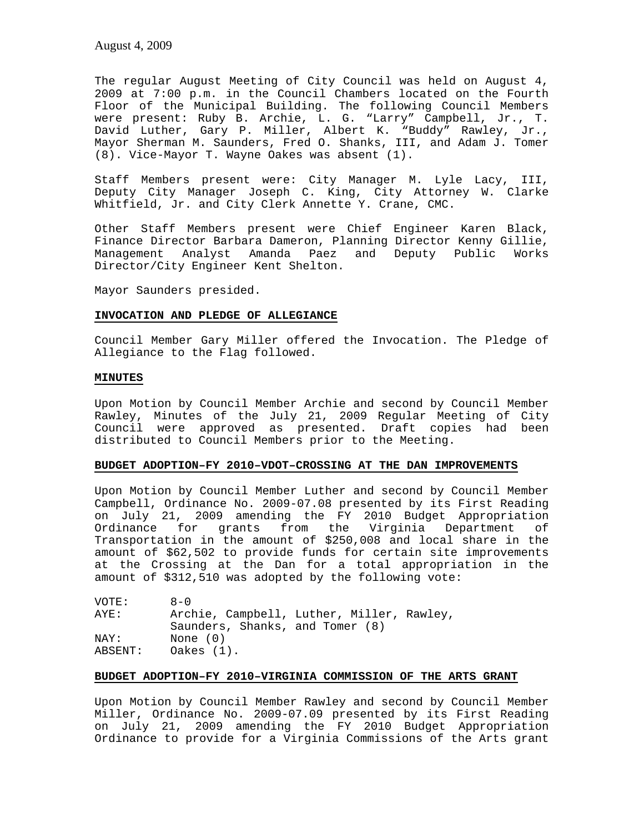The regular August Meeting of City Council was held on August 4, 2009 at 7:00 p.m. in the Council Chambers located on the Fourth Floor of the Municipal Building. The following Council Members were present: Ruby B. Archie, L. G. "Larry" Campbell, Jr., T. David Luther, Gary P. Miller, Albert K. "Buddy" Rawley, Jr., Mayor Sherman M. Saunders, Fred O. Shanks, III, and Adam J. Tomer (8). Vice-Mayor T. Wayne Oakes was absent (1).

Staff Members present were: City Manager M. Lyle Lacy, III, Deputy City Manager Joseph C. King, City Attorney W. Clarke Whitfield, Jr. and City Clerk Annette Y. Crane, CMC.

Other Staff Members present were Chief Engineer Karen Black, Finance Director Barbara Dameron, Planning Director Kenny Gillie, Management Analyst Amanda Paez and Deputy Public Works Director/City Engineer Kent Shelton.

Mayor Saunders presided.

## **INVOCATION AND PLEDGE OF ALLEGIANCE**

Council Member Gary Miller offered the Invocation. The Pledge of Allegiance to the Flag followed.

## **MINUTES**

Upon Motion by Council Member Archie and second by Council Member Rawley, Minutes of the July 21, 2009 Regular Meeting of City Council were approved as presented. Draft copies had been distributed to Council Members prior to the Meeting.

## **BUDGET ADOPTION–FY 2010–VDOT–CROSSING AT THE DAN IMPROVEMENTS**

Upon Motion by Council Member Luther and second by Council Member Campbell, Ordinance No. 2009-07.08 presented by its First Reading on July 21, 2009 amending the FY 2010 Budget Appropriation Ordinance for grants from the Virginia Department of Transportation in the amount of \$250,008 and local share in the amount of \$62,502 to provide funds for certain site improvements at the Crossing at the Dan for a total appropriation in the amount of \$312,510 was adopted by the following vote:

| VOTE:   | $A - 0$                                   |
|---------|-------------------------------------------|
| AYE:    | Archie, Campbell, Luther, Miller, Rawley, |
|         | Saunders, Shanks, and Tomer (8)           |
| NAY:    | None (0)                                  |
| ABSENT: | Oakes $(1)$ .                             |

# **BUDGET ADOPTION–FY 2010–VIRGINIA COMMISSION OF THE ARTS GRANT**

Upon Motion by Council Member Rawley and second by Council Member Miller, Ordinance No. 2009-07.09 presented by its First Reading on July 21, 2009 amending the FY 2010 Budget Appropriation Ordinance to provide for a Virginia Commissions of the Arts grant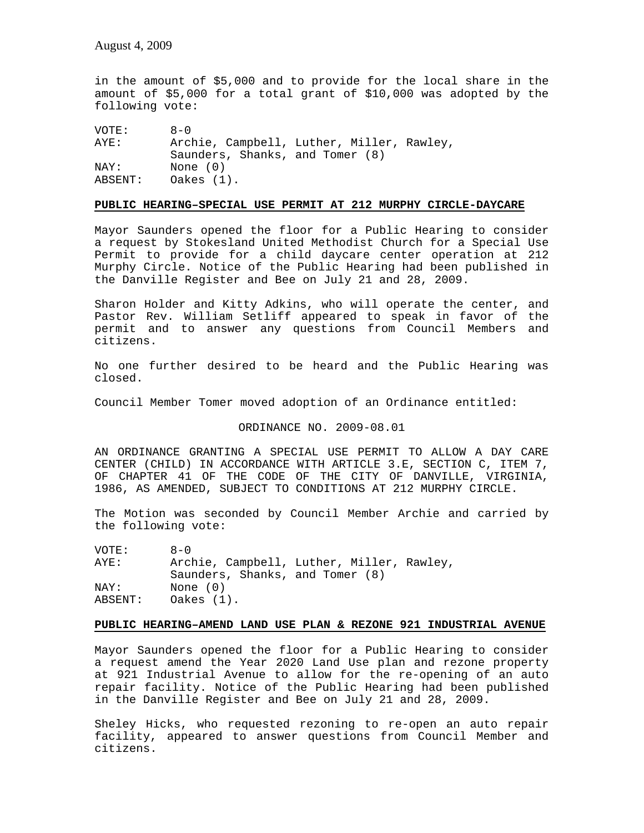in the amount of \$5,000 and to provide for the local share in the amount of \$5,000 for a total grant of \$10,000 was adopted by the following vote:

VOTE: 8-0 AYE: Archie, Campbell, Luther, Miller, Rawley, Saunders, Shanks, and Tomer (8) NAY: None (0)<br>ABSENT: Oakes (1 Oakes (1).

### **PUBLIC HEARING–SPECIAL USE PERMIT AT 212 MURPHY CIRCLE-DAYCARE**

Mayor Saunders opened the floor for a Public Hearing to consider a request by Stokesland United Methodist Church for a Special Use Permit to provide for a child daycare center operation at 212 Murphy Circle. Notice of the Public Hearing had been published in the Danville Register and Bee on July 21 and 28, 2009.

Sharon Holder and Kitty Adkins, who will operate the center, and Pastor Rev. William Setliff appeared to speak in favor of the permit and to answer any questions from Council Members and citizens.

No one further desired to be heard and the Public Hearing was closed.

Council Member Tomer moved adoption of an Ordinance entitled:

## ORDINANCE NO. 2009-08.01

AN ORDINANCE GRANTING A SPECIAL USE PERMIT TO ALLOW A DAY CARE CENTER (CHILD) IN ACCORDANCE WITH ARTICLE 3.E, SECTION C, ITEM 7, OF CHAPTER 41 OF THE CODE OF THE CITY OF DANVILLE, VIRGINIA, 1986, AS AMENDED, SUBJECT TO CONDITIONS AT 212 MURPHY CIRCLE.

The Motion was seconded by Council Member Archie and carried by the following vote:

VOTE: 8-0 AYE: Archie, Campbell, Luther, Miller, Rawley, Saunders, Shanks, and Tomer (8) NAY: None (0) ABSENT: Oakes (1).

## **PUBLIC HEARING–AMEND LAND USE PLAN & REZONE 921 INDUSTRIAL AVENUE**

Mayor Saunders opened the floor for a Public Hearing to consider a request amend the Year 2020 Land Use plan and rezone property at 921 Industrial Avenue to allow for the re-opening of an auto repair facility. Notice of the Public Hearing had been published in the Danville Register and Bee on July 21 and 28, 2009.

Sheley Hicks, who requested rezoning to re-open an auto repair facility, appeared to answer questions from Council Member and citizens.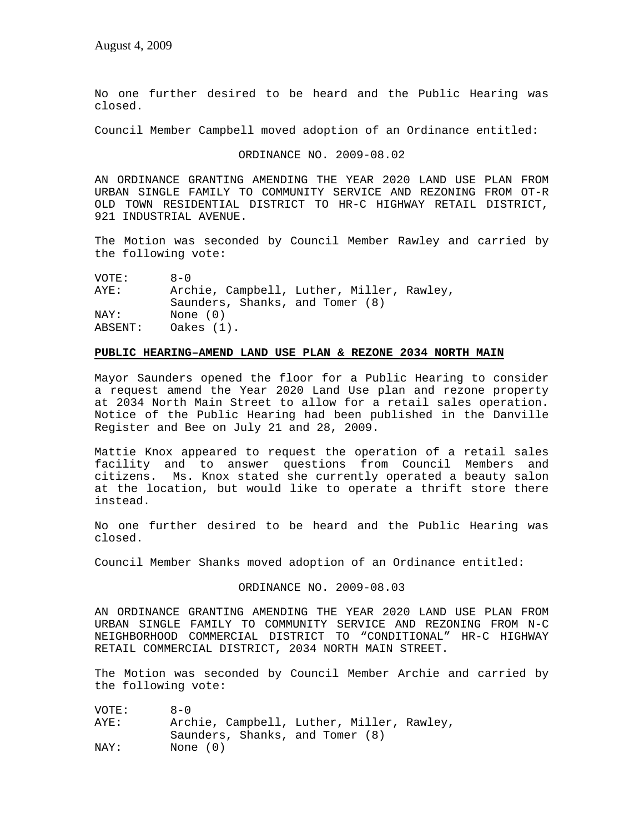No one further desired to be heard and the Public Hearing was closed.

Council Member Campbell moved adoption of an Ordinance entitled:

ORDINANCE NO. 2009-08.02

AN ORDINANCE GRANTING AMENDING THE YEAR 2020 LAND USE PLAN FROM URBAN SINGLE FAMILY TO COMMUNITY SERVICE AND REZONING FROM OT-R OLD TOWN RESIDENTIAL DISTRICT TO HR-C HIGHWAY RETAIL DISTRICT, 921 INDUSTRIAL AVENUE.

The Motion was seconded by Council Member Rawley and carried by the following vote:

| VOTE:   | $A - 0$                                   |
|---------|-------------------------------------------|
| AYE:    | Archie, Campbell, Luther, Miller, Rawley, |
|         | Saunders, Shanks, and Tomer (8)           |
| NAY:    | None $(0)$                                |
| ABSENT: | Oakes $(1)$ .                             |

### **PUBLIC HEARING–AMEND LAND USE PLAN & REZONE 2034 NORTH MAIN**

Mayor Saunders opened the floor for a Public Hearing to consider a request amend the Year 2020 Land Use plan and rezone property at 2034 North Main Street to allow for a retail sales operation. Notice of the Public Hearing had been published in the Danville Register and Bee on July 21 and 28, 2009.

Mattie Knox appeared to request the operation of a retail sales facility and to answer questions from Council Members and citizens. Ms. Knox stated she currently operated a beauty salon at the location, but would like to operate a thrift store there instead.

No one further desired to be heard and the Public Hearing was closed.

Council Member Shanks moved adoption of an Ordinance entitled:

ORDINANCE NO. 2009-08.03

AN ORDINANCE GRANTING AMENDING THE YEAR 2020 LAND USE PLAN FROM URBAN SINGLE FAMILY TO COMMUNITY SERVICE AND REZONING FROM N-C NEIGHBORHOOD COMMERCIAL DISTRICT TO "CONDITIONAL" HR-C HIGHWAY RETAIL COMMERCIAL DISTRICT, 2034 NORTH MAIN STREET.

The Motion was seconded by Council Member Archie and carried by the following vote:

VOTE: 8-0<br>AYE: Arcl Archie, Campbell, Luther, Miller, Rawley, Saunders, Shanks, and Tomer (8) NAY: None (0)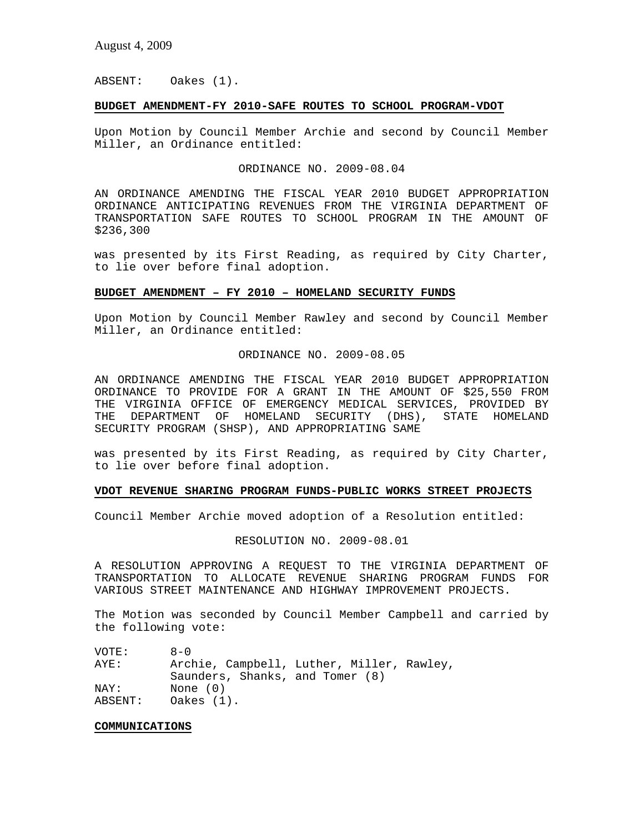ABSENT: Oakes (1).

## **BUDGET AMENDMENT-FY 2010-SAFE ROUTES TO SCHOOL PROGRAM-VDOT**

Upon Motion by Council Member Archie and second by Council Member Miller, an Ordinance entitled:

ORDINANCE NO. 2009-08.04

AN ORDINANCE AMENDING THE FISCAL YEAR 2010 BUDGET APPROPRIATION ORDINANCE ANTICIPATING REVENUES FROM THE VIRGINIA DEPARTMENT OF TRANSPORTATION SAFE ROUTES TO SCHOOL PROGRAM IN THE AMOUNT OF \$236,300

was presented by its First Reading, as required by City Charter, to lie over before final adoption.

## **BUDGET AMENDMENT – FY 2010 – HOMELAND SECURITY FUNDS**

Upon Motion by Council Member Rawley and second by Council Member Miller, an Ordinance entitled:

### ORDINANCE NO. 2009-08.05

AN ORDINANCE AMENDING THE FISCAL YEAR 2010 BUDGET APPROPRIATION ORDINANCE TO PROVIDE FOR A GRANT IN THE AMOUNT OF \$25,550 FROM THE VIRGINIA OFFICE OF EMERGENCY MEDICAL SERVICES, PROVIDED BY THE DEPARTMENT OF HOMELAND SECURITY (DHS), STATE HOMELAND SECURITY PROGRAM (SHSP), AND APPROPRIATING SAME

was presented by its First Reading, as required by City Charter, to lie over before final adoption.

### **VDOT REVENUE SHARING PROGRAM FUNDS-PUBLIC WORKS STREET PROJECTS**

Council Member Archie moved adoption of a Resolution entitled:

#### RESOLUTION NO. 2009-08.01

A RESOLUTION APPROVING A REQUEST TO THE VIRGINIA DEPARTMENT OF TRANSPORTATION TO ALLOCATE REVENUE SHARING PROGRAM FUNDS FOR VARIOUS STREET MAINTENANCE AND HIGHWAY IMPROVEMENT PROJECTS.

The Motion was seconded by Council Member Campbell and carried by the following vote:

| VOTE:   | $A - 0$                                   |
|---------|-------------------------------------------|
| AYE:    | Archie, Campbell, Luther, Miller, Rawley, |
|         | Saunders, Shanks, and Tomer (8)           |
| NAY:    | None $(0)$                                |
| ABSENT: | Oakes $(1)$ .                             |

#### **COMMUNICATIONS**